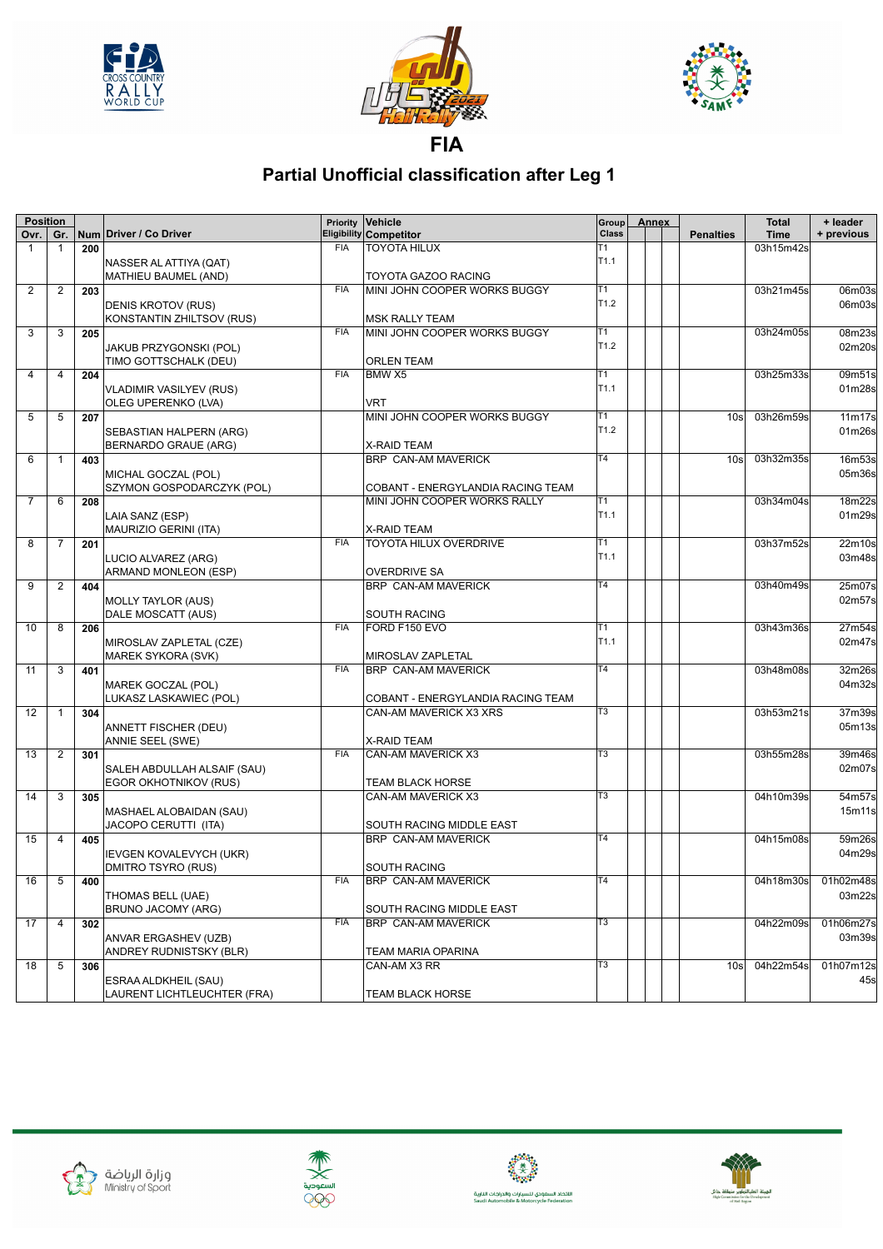





**FIA**

## **Partial Unofficial classification after Leg 1**

| <b>Position</b> |                |     |                                | Priority   | Vehicle                           | Group            | <b>Annex</b> |                  | <b>Total</b> | + leader            |
|-----------------|----------------|-----|--------------------------------|------------|-----------------------------------|------------------|--------------|------------------|--------------|---------------------|
| Ovr.            | Gr.            |     | Num Driver / Co Driver         |            | <b>Eligibility Competitor</b>     | Class            |              | <b>Penalties</b> | <b>Time</b>  | + previous          |
| 1               | 1              | 200 |                                | <b>FIA</b> | <b>TOYOTA HILUX</b>               | Т1               |              |                  | 03h15m42s    |                     |
|                 |                |     | NASSER AL ATTIYA (QAT)         |            |                                   | T <sub>1.1</sub> |              |                  |              |                     |
|                 |                |     | MATHIEU BAUMEL (AND)           |            | TOYOTA GAZOO RACING               |                  |              |                  |              |                     |
| $\overline{2}$  | $\overline{2}$ | 203 |                                | <b>FIA</b> | MINI JOHN COOPER WORKS BUGGY      | T1               |              |                  | 03h21m45s    | 06m03s              |
|                 |                |     | <b>DENIS KROTOV (RUS)</b>      |            |                                   | T <sub>1.2</sub> |              |                  |              | 06m03s              |
|                 |                |     | KONSTANTIN ZHILTSOV (RUS)      |            | <b>MSK RALLY TEAM</b>             |                  |              |                  |              |                     |
| 3               | 3              | 205 |                                | <b>FIA</b> | MINI JOHN COOPER WORKS BUGGY      | T1               |              |                  | 03h24m05s    | 08m23s              |
|                 |                |     |                                |            |                                   | T1.2             |              |                  |              |                     |
|                 |                |     | JAKUB PRZYGONSKI (POL)         |            |                                   |                  |              |                  |              | 02m20s              |
|                 |                |     | TIMO GOTTSCHALK (DEU)          |            | <b>ORLEN TEAM</b>                 |                  |              |                  |              |                     |
| $\overline{4}$  | 4              | 204 |                                | <b>FIA</b> | BMW X5                            | T1               |              |                  | 03h25m33s    | 09m51s              |
|                 |                |     | <b>VLADIMIR VASILYEV (RUS)</b> |            |                                   | T <sub>1.1</sub> |              |                  |              | 01m28s              |
|                 |                |     | OLEG UPERENKO (LVA)            |            | <b>VRT</b>                        |                  |              |                  |              |                     |
| 5               | 5              | 207 |                                |            | MINI JOHN COOPER WORKS BUGGY      | Т1               |              | 10 <sub>s</sub>  | 03h26m59s    | 11m17s              |
|                 |                |     | SEBASTIAN HALPERN (ARG)        |            |                                   | T1.2             |              |                  |              | 01m26s              |
|                 |                |     | BERNARDO GRAUE (ARG)           |            | <b>X-RAID TEAM</b>                |                  |              |                  |              |                     |
| 6               | 1              | 403 |                                |            | BRP CAN-AM MAVERICK               | T4               |              | 10 <sub>s</sub>  | 03h32m35s    | 16m53s              |
|                 |                |     |                                |            |                                   |                  |              |                  |              | 05m36s              |
|                 |                |     | MICHAL GOCZAL (POL)            |            |                                   |                  |              |                  |              |                     |
|                 |                |     | SZYMON GOSPODARCZYK (POL)      |            | COBANT - ENERGYLANDIA RACING TEAM |                  |              |                  |              |                     |
| $\overline{7}$  | 6              | 208 |                                |            | MINI JOHN COOPER WORKS RALLY      | Τ1               |              |                  | 03h34m04s    | 18m22s              |
|                 |                |     | LAIA SANZ (ESP)                |            |                                   | T <sub>1.1</sub> |              |                  |              | 01m29s              |
|                 |                |     | MAURIZIO GERINI (ITA)          |            | <b>X-RAID TEAM</b>                |                  |              |                  |              |                     |
| 8               | 7              | 201 |                                | <b>FIA</b> | <b>TOYOTA HILUX OVERDRIVE</b>     | Τ1               |              |                  | 03h37m52s    | 22m10s              |
|                 |                |     | LUCIO ALVAREZ (ARG)            |            |                                   | T <sub>1.1</sub> |              |                  |              | 03m48s              |
|                 |                |     | ARMAND MONLEON (ESP)           |            | <b>OVERDRIVE SA</b>               |                  |              |                  |              |                     |
| 9               | 2              | 404 |                                |            | <b>BRP CAN-AM MAVERICK</b>        | $\overline{14}$  |              |                  | 03h40m49s    | 25m07s              |
|                 |                |     |                                |            |                                   |                  |              |                  |              | 02m57s              |
|                 |                |     | <b>MOLLY TAYLOR (AUS)</b>      |            |                                   |                  |              |                  |              |                     |
|                 |                |     | DALE MOSCATT (AUS)             |            | <b>SOUTH RACING</b>               |                  |              |                  |              |                     |
| 10              | 8              | 206 |                                | <b>FIA</b> | FORD F150 EVO                     | T1               |              |                  | 03h43m36s    | 27m54s              |
|                 |                |     | MIROSLAV ZAPLETAL (CZE)        |            |                                   | T <sub>1.1</sub> |              |                  |              | 02m47s              |
|                 |                |     | <b>MAREK SYKORA (SVK)</b>      |            | MIROSLAV ZAPLETAL                 |                  |              |                  |              |                     |
| 11              | 3              | 401 |                                | <b>FIA</b> | BRP CAN-AM MAVERICK               | T4               |              |                  | 03h48m08s    | 32m26s              |
|                 |                |     | MAREK GOCZAL (POL)             |            |                                   |                  |              |                  |              | 04m32s              |
|                 |                |     | LUKASZ LASKAWIEC (POL)         |            | COBANT - ENERGYLANDIA RACING TEAM |                  |              |                  |              |                     |
| 12              | 1              | 304 |                                |            | CAN-AM MAVERICK X3 XRS            | T <sub>3</sub>   |              |                  | 03h53m21s    | 37m39s              |
|                 |                |     | ANNETT FISCHER (DEU)           |            |                                   |                  |              |                  |              | 05m13s              |
|                 |                |     |                                |            |                                   |                  |              |                  |              |                     |
|                 |                |     | <b>ANNIE SEEL (SWE)</b>        | <b>FIA</b> | X-RAID TEAM                       | T3               |              |                  |              |                     |
| 13              | $\overline{2}$ | 301 |                                |            | <b>CAN-AM MAVERICK X3</b>         |                  |              |                  | 03h55m28s    | 39m46s              |
|                 |                |     | SALEH ABDULLAH ALSAIF (SAU)    |            |                                   |                  |              |                  |              | 02m07s              |
|                 |                |     | EGOR OKHOTNIKOV (RUS)          |            | TEAM BLACK HORSE                  |                  |              |                  |              |                     |
| 14              | 3              | 305 |                                |            | CAN-AM MAVERICK X3                | T3               |              |                  | 04h10m39s    | 54m57s              |
|                 |                |     | MASHAEL ALOBAIDAN (SAU)        |            |                                   |                  |              |                  |              | 15m11s              |
|                 |                |     | JACOPO CERUTTI (ITA)           |            | SOUTH RACING MIDDLE EAST          |                  |              |                  |              |                     |
| 15              | 4              | 405 |                                |            | <b>BRP CAN-AM MAVERICK</b>        | Т4               |              |                  | 04h15m08s    | 59m26s              |
|                 |                |     | IEVGEN KOVALEVYCH (UKR)        |            |                                   |                  |              |                  |              | 04m29s              |
|                 |                |     | <b>DMITRO TSYRO (RUS)</b>      |            | <b>SOUTH RACING</b>               |                  |              |                  |              |                     |
|                 |                |     |                                | <b>FIA</b> |                                   | T <sub>4</sub>   |              |                  |              | 04h18m30s 01h02m48s |
|                 | $16$ 5 400     |     |                                |            | <b>BRP CAN-AM MAVERICK</b>        |                  |              |                  |              |                     |
|                 |                |     | THOMAS BELL (UAE)              |            |                                   |                  |              |                  |              | 03m22s              |
|                 |                |     | <b>BRUNO JACOMY (ARG)</b>      |            | SOUTH RACING MIDDLE EAST          |                  |              |                  |              |                     |
| 17              | 4              | 302 |                                | <b>FIA</b> | <b>BRP CAN-AM MAVERICK</b>        | $\overline{T3}$  |              |                  | 04h22m09s    | 01h06m27s           |
|                 |                |     | ANVAR ERGASHEV (UZB)           |            |                                   |                  |              |                  |              | 03m39s              |
|                 |                |     | ANDREY RUDNISTSKY (BLR)        |            | <b>TEAM MARIA OPARINA</b>         |                  |              |                  |              |                     |
| 18              | 5              | 306 |                                |            | CAN-AM X3 RR                      | T3               |              | 10 <sub>s</sub>  | 04h22m54s    | 01h07m12s           |
|                 |                |     | ESRAA ALDKHEIL (SAU)           |            |                                   |                  |              |                  |              | 45s                 |
|                 |                |     | LAURENT LICHTLEUCHTER (FRA)    |            | TEAM BLACK HORSE                  |                  |              |                  |              |                     |
|                 |                |     |                                |            |                                   |                  |              |                  |              |                     |